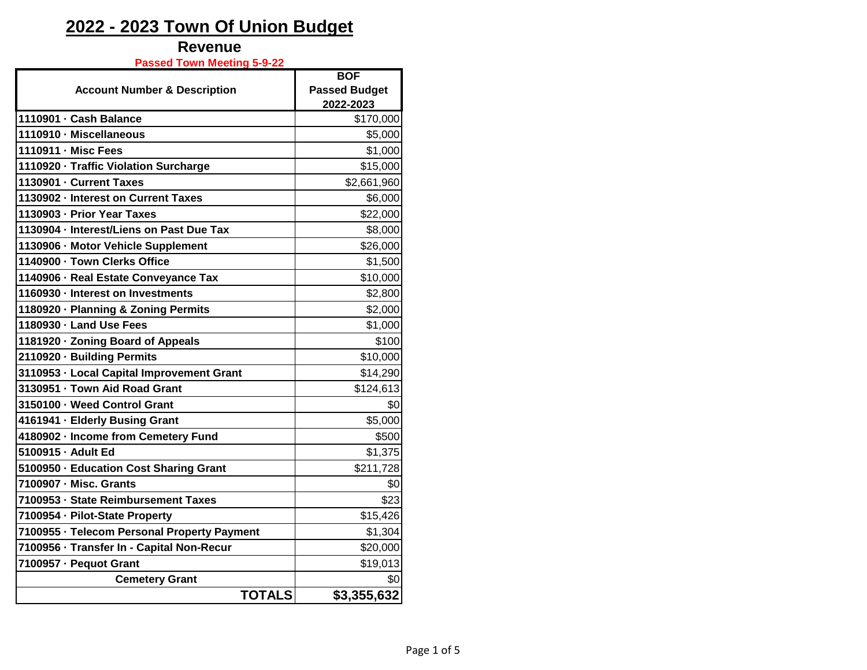### **Revenue**

**Passed Town Meeting 5-9-22**

|                                             | <b>BOF</b>           |
|---------------------------------------------|----------------------|
| <b>Account Number &amp; Description</b>     | <b>Passed Budget</b> |
|                                             | 2022-2023            |
| 1110901 - Cash Balance                      | \$170,000            |
| 1110910 - Miscellaneous                     | \$5,000              |
| 1110911 - Misc Fees                         | \$1,000              |
| 1110920 - Traffic Violation Surcharge       | \$15,000             |
| 1130901 - Current Taxes                     | \$2,661,960          |
| 1130902 - Interest on Current Taxes         | \$6,000              |
| 1130903 - Prior Year Taxes                  | \$22,000             |
| 1130904 - Interest/Liens on Past Due Tax    | \$8,000              |
| 1130906 - Motor Vehicle Supplement          | \$26,000             |
| 1140900 - Town Clerks Office                | \$1,500              |
| 1140906 - Real Estate Conveyance Tax        | \$10,000             |
| 1160930 - Interest on Investments           | \$2,800              |
| 1180920 · Planning & Zoning Permits         | \$2,000              |
| 1180930 · Land Use Fees                     | \$1,000              |
| 1181920 · Zoning Board of Appeals           | \$100                |
| 2110920 · Building Permits                  | \$10,000             |
| 3110953 - Local Capital Improvement Grant   | \$14,290             |
| 3130951 - Town Aid Road Grant               | \$124,613            |
| 3150100 - Weed Control Grant                | \$0                  |
| 4161941 - Elderly Busing Grant              | \$5,000              |
| 4180902 · Income from Cemetery Fund         | \$500                |
| 5100915 - Adult Ed                          | \$1,375              |
| 5100950 · Education Cost Sharing Grant      | \$211,728            |
| 7100907 - Misc. Grants                      | \$0                  |
| 7100953 - State Reimbursement Taxes         | \$23                 |
| 7100954 · Pilot-State Property              | \$15,426             |
| 7100955 · Telecom Personal Property Payment | \$1,304              |
| 7100956 · Transfer In - Capital Non-Recur   | \$20,000             |
| 7100957 - Pequot Grant                      | \$19,013             |
| <b>Cemetery Grant</b>                       | \$0                  |
| <b>TOTALS</b>                               | \$3,355,632          |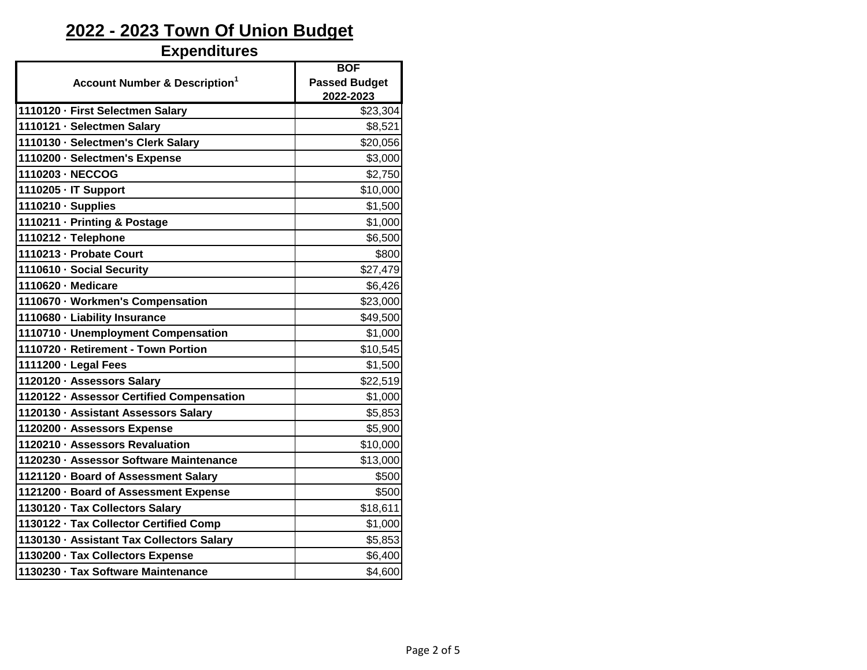#### **Expenditures**

|                                           | <b>BOF</b>           |
|-------------------------------------------|----------------------|
| <b>Account Number &amp; Description1</b>  | <b>Passed Budget</b> |
|                                           | 2022-2023            |
| 1110120 - First Selectmen Salary          | \$23,304             |
| 1110121 - Selectmen Salary                | \$8,521              |
| 1110130 - Selectmen's Clerk Salary        | \$20,056             |
| 1110200 · Selectmen's Expense             | \$3,000              |
| 1110203 - NECCOG                          | \$2,750              |
| 1110205 - IT Support                      | \$10,000             |
| 1110210 · Supplies                        | \$1,500              |
| 1110211 · Printing & Postage              | \$1,000              |
| 1110212 · Telephone                       | \$6,500              |
| 1110213 - Probate Court                   | \$800                |
| 1110610 · Social Security                 | \$27,479             |
| 1110620 - Medicare                        | \$6,426              |
| 1110670 · Workmen's Compensation          | \$23,000             |
| 1110680 - Liability Insurance             | \$49,500             |
| 1110710 - Unemployment Compensation       | \$1,000              |
| 1110720 - Retirement - Town Portion       | \$10,545             |
| 1111200 - Legal Fees                      | \$1,500              |
| 1120120 · Assessors Salary                | \$22,519             |
| 1120122 · Assessor Certified Compensation | \$1,000              |
| 1120130 - Assistant Assessors Salary      | \$5,853              |
| 1120200 · Assessors Expense               | \$5,900              |
| 1120210 · Assessors Revaluation           | \$10,000             |
| 1120230 - Assessor Software Maintenance   | \$13,000             |
| 1121120 - Board of Assessment Salary      | \$500                |
| 1121200 · Board of Assessment Expense     | \$500                |
| 1130120 · Tax Collectors Salary           | \$18,611             |
| 1130122 · Tax Collector Certified Comp    | \$1,000              |
| 1130130 · Assistant Tax Collectors Salary | \$5,853              |
| 1130200 · Tax Collectors Expense          | \$6,400              |
| 1130230 · Tax Software Maintenance        | \$4,600              |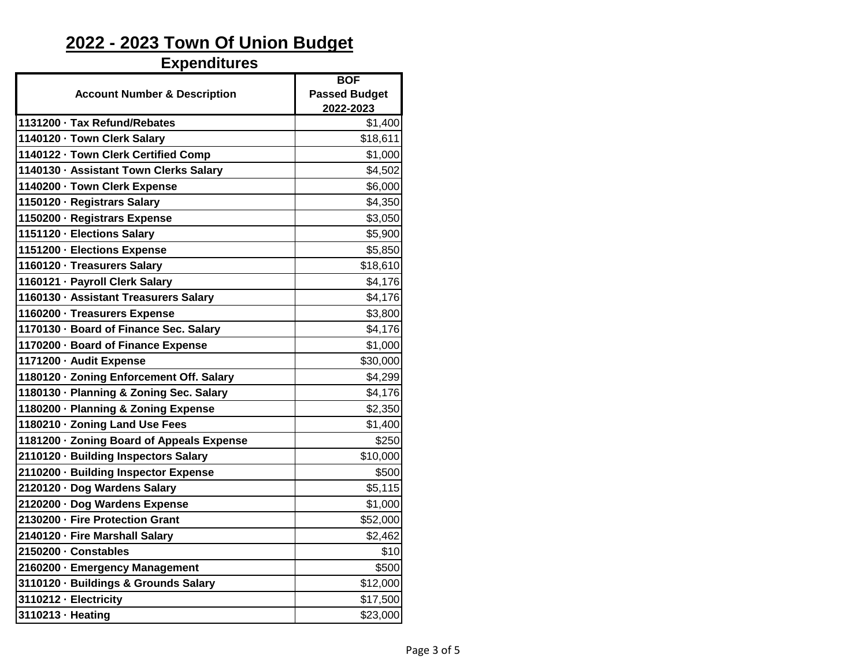# **Expenditures**

| <b>Account Number &amp; Description</b>   | <b>BOF</b><br><b>Passed Budget</b><br>2022-2023 |
|-------------------------------------------|-------------------------------------------------|
| 1131200 - Tax Refund/Rebates              | \$1,400                                         |
| 1140120 - Town Clerk Salary               | \$18,611                                        |
| 1140122 - Town Clerk Certified Comp       | \$1,000                                         |
| 1140130 · Assistant Town Clerks Salary    | \$4,502                                         |
| 1140200 - Town Clerk Expense              | \$6,000                                         |
| 1150120 · Registrars Salary               | \$4,350                                         |
| 1150200 - Registrars Expense              | \$3,050                                         |
| 1151120 - Elections Salary                | \$5,900                                         |
| 1151200 - Elections Expense               | \$5,850                                         |
| 1160120 · Treasurers Salary               | \$18,610                                        |
| 1160121 · Payroll Clerk Salary            | \$4,176                                         |
| 1160130 · Assistant Treasurers Salary     | \$4,176                                         |
| 1160200 · Treasurers Expense              | \$3,800                                         |
| 1170130 - Board of Finance Sec. Salary    | \$4,176                                         |
| 1170200 · Board of Finance Expense        | \$1,000                                         |
| 1171200 - Audit Expense                   | \$30,000                                        |
| 1180120 · Zoning Enforcement Off. Salary  | \$4,299                                         |
| 1180130 · Planning & Zoning Sec. Salary   | \$4,176                                         |
| 1180200 · Planning & Zoning Expense       | \$2,350                                         |
| 1180210 · Zoning Land Use Fees            | \$1,400                                         |
| 1181200 · Zoning Board of Appeals Expense | \$250                                           |
| 2110120 - Building Inspectors Salary      | \$10,000                                        |
| 2110200 · Building Inspector Expense      | \$500                                           |
| 2120120 · Dog Wardens Salary              | \$5,115                                         |
| 2120200 · Dog Wardens Expense             | \$1,000                                         |
| 2130200 - Fire Protection Grant           | \$52,000                                        |
| 2140120 · Fire Marshall Salary            | \$2,462                                         |
| 2150200 · Constables                      | \$10                                            |
| 2160200 · Emergency Management            | \$500                                           |
| 3110120 · Buildings & Grounds Salary      | \$12,000                                        |
| 3110212 - Electricity                     | \$17,500                                        |
| 3110213 · Heating                         | \$23,000                                        |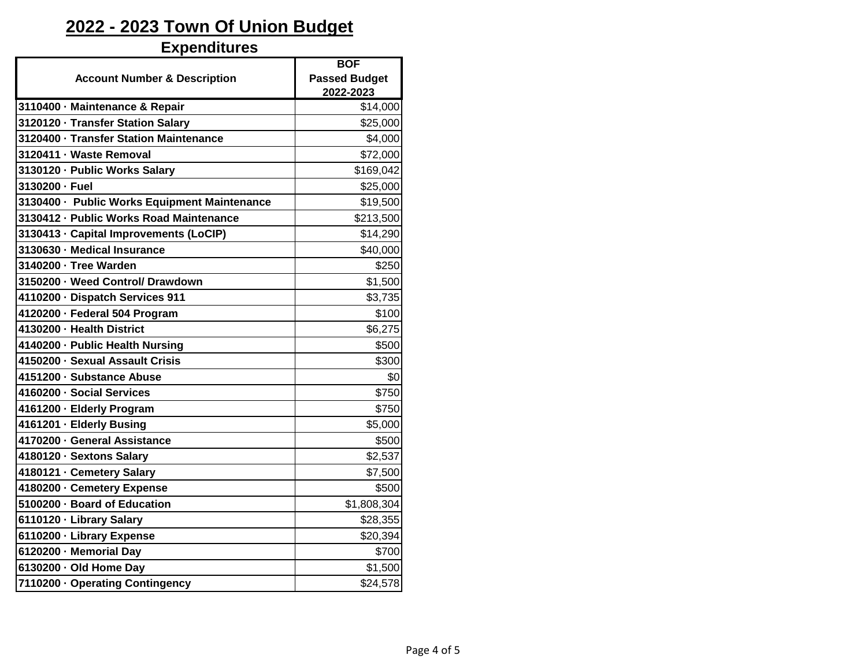#### **Expenditures**

|                                              | <b>BOF</b>           |
|----------------------------------------------|----------------------|
| <b>Account Number &amp; Description</b>      | <b>Passed Budget</b> |
|                                              | 2022-2023            |
| 3110400 - Maintenance & Repair               | \$14,000             |
| 3120120 - Transfer Station Salary            | \$25,000             |
| 3120400 - Transfer Station Maintenance       | \$4,000              |
| 3120411 - Waste Removal                      | \$72,000             |
| 3130120 - Public Works Salary                | \$169,042            |
| 3130200 · Fuel                               | \$25,000             |
| 3130400 · Public Works Equipment Maintenance | \$19,500             |
| 3130412 - Public Works Road Maintenance      | \$213,500            |
| 3130413 - Capital Improvements (LoCIP)       | \$14,290             |
| 3130630 - Medical Insurance                  | \$40,000             |
| 3140200 - Tree Warden                        | \$250                |
| 3150200 - Weed Control/ Drawdown             | \$1,500              |
| 4110200 · Dispatch Services 911              | \$3,735              |
| 4120200 - Federal 504 Program                | \$100                |
| 4130200 - Health District                    | \$6,275              |
| 4140200 - Public Health Nursing              | \$500                |
| 4150200 - Sexual Assault Crisis              | \$300                |
| 4151200 - Substance Abuse                    | \$0                  |
| 4160200 - Social Services                    | \$750                |
| 4161200 - Elderly Program                    | \$750                |
| 4161201 · Elderly Busing                     | \$5,000              |
| 4170200 - General Assistance                 | \$500                |
| 4180120 · Sextons Salary                     | \$2,537              |
| 4180121 · Cemetery Salary                    | \$7,500              |
| 4180200 - Cemetery Expense                   | \$500                |
| 5100200 · Board of Education                 | \$1,808,304          |
| 6110120 · Library Salary                     | \$28,355             |
| 6110200 · Library Expense                    | \$20,394             |
| 6120200 - Memorial Day                       | \$700                |
| 6130200 - Old Home Day                       | \$1,500              |
| 7110200 - Operating Contingency              | \$24,578             |